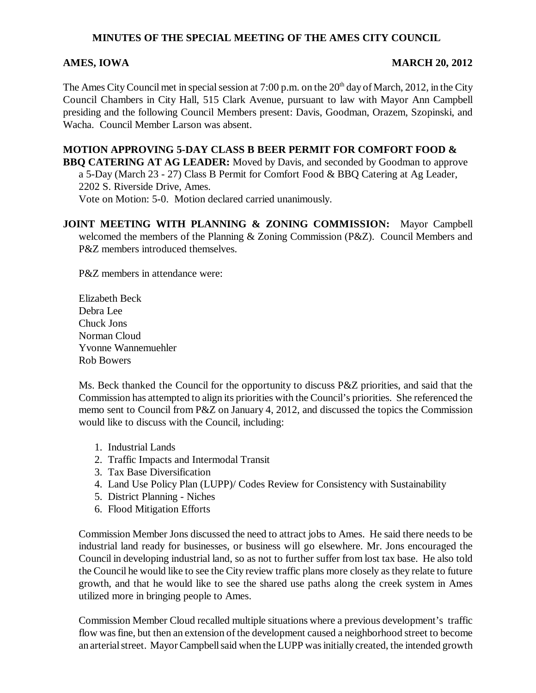## **MINUTES OF THE SPECIAL MEETING OF THE AMES CITY COUNCIL**

## **AMES, IOWA** MARCH 20, 2012

The Ames City Council met in special session at 7:00 p.m. on the  $20<sup>th</sup>$  day of March, 2012, in the City Council Chambers in City Hall, 515 Clark Avenue, pursuant to law with Mayor Ann Campbell presiding and the following Council Members present: Davis, Goodman, Orazem, Szopinski, and Wacha. Council Member Larson was absent.

**MOTION APPROVING 5-DAY CLASS B BEER PERMIT FOR COMFORT FOOD & BBQ CATERING AT AG LEADER:** Moved by Davis, and seconded by Goodman to approve a 5-Day (March 23 - 27) Class B Permit for Comfort Food & BBQ Catering at Ag Leader, 2202 S. Riverside Drive, Ames. Vote on Motion: 5-0. Motion declared carried unanimously.

**JOINT MEETING WITH PLANNING & ZONING COMMISSION:** Mayor Campbell welcomed the members of the Planning & Zoning Commission (P&Z). Council Members and P&Z members introduced themselves.

P&Z members in attendance were:

Elizabeth Beck Debra Lee Chuck Jons Norman Cloud Yvonne Wannemuehler Rob Bowers

Ms. Beck thanked the Council for the opportunity to discuss P&Z priorities, and said that the Commission has attempted to align its priorities with the Council's priorities. She referenced the memo sent to Council from P&Z on January 4, 2012, and discussed the topics the Commission would like to discuss with the Council, including:

- 1. Industrial Lands
- 2. Traffic Impacts and Intermodal Transit
- 3. Tax Base Diversification
- 4. Land Use Policy Plan (LUPP)/ Codes Review for Consistency with Sustainability
- 5. District Planning Niches
- 6. Flood Mitigation Efforts

Commission Member Jons discussed the need to attract jobs to Ames. He said there needs to be industrial land ready for businesses, or business will go elsewhere. Mr. Jons encouraged the Council in developing industrial land, so as not to further suffer from lost tax base. He also told the Council he would like to see the City review traffic plans more closely as they relate to future growth, and that he would like to see the shared use paths along the creek system in Ames utilized more in bringing people to Ames.

Commission Member Cloud recalled multiple situations where a previous development's traffic flow was fine, but then an extension of the development caused a neighborhood street to become an arterial street. Mayor Campbell said when the LUPP was initially created, the intended growth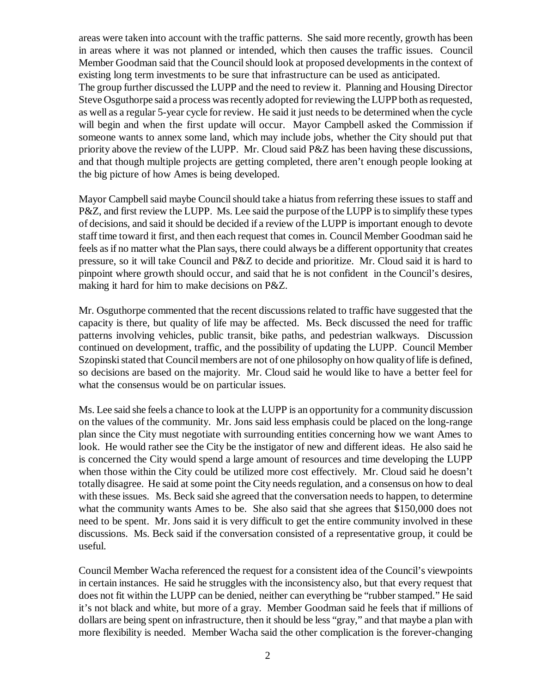areas were taken into account with the traffic patterns. She said more recently, growth has been in areas where it was not planned or intended, which then causes the traffic issues. Council Member Goodman said that the Council should look at proposed developments in the context of existing long term investments to be sure that infrastructure can be used as anticipated.

The group further discussed the LUPP and the need to review it. Planning and Housing Director Steve Osguthorpe said a process was recently adopted for reviewing the LUPP both as requested, as well as a regular 5-year cycle for review. He said it just needs to be determined when the cycle will begin and when the first update will occur. Mayor Campbell asked the Commission if someone wants to annex some land, which may include jobs, whether the City should put that priority above the review of the LUPP. Mr. Cloud said P&Z has been having these discussions, and that though multiple projects are getting completed, there aren't enough people looking at the big picture of how Ames is being developed.

Mayor Campbell said maybe Council should take a hiatus from referring these issues to staff and P&Z, and first review the LUPP. Ms. Lee said the purpose of the LUPP is to simplify these types of decisions, and said it should be decided if a review of the LUPP is important enough to devote staff time toward it first, and then each request that comes in. Council Member Goodman said he feels as if no matter what the Plan says, there could always be a different opportunity that creates pressure, so it will take Council and P&Z to decide and prioritize. Mr. Cloud said it is hard to pinpoint where growth should occur, and said that he is not confident in the Council's desires, making it hard for him to make decisions on P&Z.

Mr. Osguthorpe commented that the recent discussions related to traffic have suggested that the capacity is there, but quality of life may be affected. Ms. Beck discussed the need for traffic patterns involving vehicles, public transit, bike paths, and pedestrian walkways. Discussion continued on development, traffic, and the possibility of updating the LUPP. Council Member Szopinski stated that Council members are not of one philosophy on how quality of life is defined, so decisions are based on the majority. Mr. Cloud said he would like to have a better feel for what the consensus would be on particular issues.

Ms. Lee said she feels a chance to look at the LUPP is an opportunity for a community discussion on the values of the community. Mr. Jons said less emphasis could be placed on the long-range plan since the City must negotiate with surrounding entities concerning how we want Ames to look. He would rather see the City be the instigator of new and different ideas. He also said he is concerned the City would spend a large amount of resources and time developing the LUPP when those within the City could be utilized more cost effectively. Mr. Cloud said he doesn't totally disagree. He said at some point the City needs regulation, and a consensus on how to deal with these issues. Ms. Beck said she agreed that the conversation needs to happen, to determine what the community wants Ames to be. She also said that she agrees that \$150,000 does not need to be spent. Mr. Jons said it is very difficult to get the entire community involved in these discussions. Ms. Beck said if the conversation consisted of a representative group, it could be useful.

Council Member Wacha referenced the request for a consistent idea of the Council's viewpoints in certain instances. He said he struggles with the inconsistency also, but that every request that does not fit within the LUPP can be denied, neither can everything be "rubber stamped." He said it's not black and white, but more of a gray. Member Goodman said he feels that if millions of dollars are being spent on infrastructure, then it should be less "gray," and that maybe a plan with more flexibility is needed. Member Wacha said the other complication is the forever-changing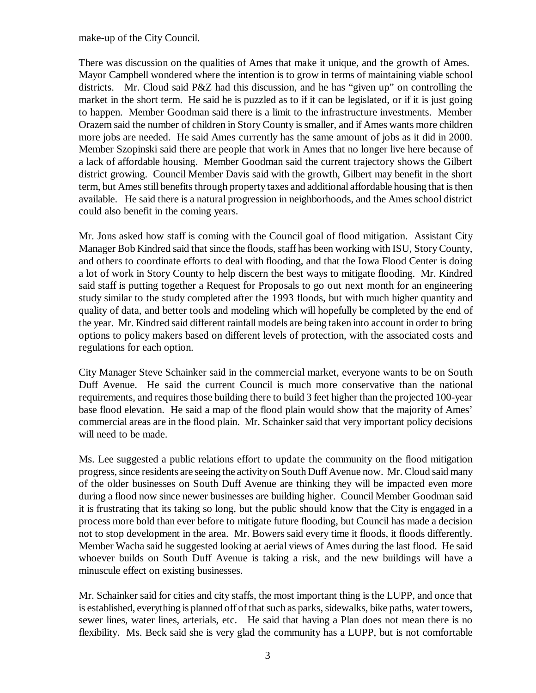make-up of the City Council.

There was discussion on the qualities of Ames that make it unique, and the growth of Ames. Mayor Campbell wondered where the intention is to grow in terms of maintaining viable school districts. Mr. Cloud said P&Z had this discussion, and he has "given up" on controlling the market in the short term. He said he is puzzled as to if it can be legislated, or if it is just going to happen. Member Goodman said there is a limit to the infrastructure investments. Member Orazem said the number of children in Story County is smaller, and if Ames wants more children more jobs are needed. He said Ames currently has the same amount of jobs as it did in 2000. Member Szopinski said there are people that work in Ames that no longer live here because of a lack of affordable housing. Member Goodman said the current trajectory shows the Gilbert district growing. Council Member Davis said with the growth, Gilbert may benefit in the short term, but Ames still benefits through property taxes and additional affordable housing that is then available. He said there is a natural progression in neighborhoods, and the Ames school district could also benefit in the coming years.

Mr. Jons asked how staff is coming with the Council goal of flood mitigation. Assistant City Manager Bob Kindred said that since the floods, staff has been working with ISU, Story County, and others to coordinate efforts to deal with flooding, and that the Iowa Flood Center is doing a lot of work in Story County to help discern the best ways to mitigate flooding. Mr. Kindred said staff is putting together a Request for Proposals to go out next month for an engineering study similar to the study completed after the 1993 floods, but with much higher quantity and quality of data, and better tools and modeling which will hopefully be completed by the end of the year. Mr. Kindred said different rainfall models are being taken into account in order to bring options to policy makers based on different levels of protection, with the associated costs and regulations for each option.

City Manager Steve Schainker said in the commercial market, everyone wants to be on South Duff Avenue. He said the current Council is much more conservative than the national requirements, and requires those building there to build 3 feet higher than the projected 100-year base flood elevation. He said a map of the flood plain would show that the majority of Ames' commercial areas are in the flood plain. Mr. Schainker said that very important policy decisions will need to be made.

Ms. Lee suggested a public relations effort to update the community on the flood mitigation progress, since residents are seeing the activity on South Duff Avenue now. Mr. Cloud said many of the older businesses on South Duff Avenue are thinking they will be impacted even more during a flood now since newer businesses are building higher. Council Member Goodman said it is frustrating that its taking so long, but the public should know that the City is engaged in a process more bold than ever before to mitigate future flooding, but Council has made a decision not to stop development in the area. Mr. Bowers said every time it floods, it floods differently. Member Wacha said he suggested looking at aerial views of Ames during the last flood. He said whoever builds on South Duff Avenue is taking a risk, and the new buildings will have a minuscule effect on existing businesses.

Mr. Schainker said for cities and city staffs, the most important thing is the LUPP, and once that is established, everything is planned off of that such as parks, sidewalks, bike paths, water towers, sewer lines, water lines, arterials, etc. He said that having a Plan does not mean there is no flexibility. Ms. Beck said she is very glad the community has a LUPP, but is not comfortable